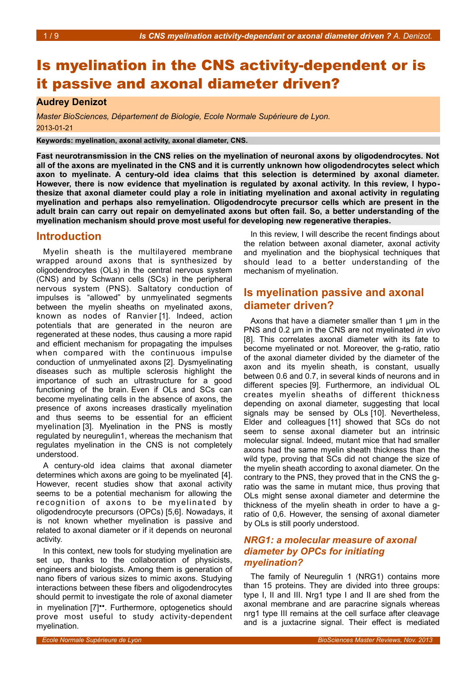# Is myelination in the CNS activity-dependent or is it passive and axonal diameter driven?

### **Audrey Denizot**

*Master BioSciences, Département de Biologie, Ecole Normale Supérieure de Lyon.* 2013-01-21

**Keywords: myelination, axonal activity, axonal diameter, CNS.**

**Fast neurotransmission in the CNS relies on the myelination of neuronal axons by oligodendrocytes. Not all of the axons are myelinated in the CNS and it is currently unknown how oligodendrocytes select which axon to myelinate. A century-old idea claims that this selection is determined by axonal diameter. However, there is now evidence that myelination is regulated by axonal activity. In this review, I hypothesize that axonal diameter could play a role in initiating myelination and axonal activity in regulating myelination and perhaps also remyelination. Oligodendrocyte precursor cells which are present in the adult brain can carry out repair on demyelinated axons but often fail. So, a better understanding of the myelination mechanism should prove most useful for developing new regenerative therapies.**

### **Introduction**

Myelin sheath is the multilayered membrane wrapped around axons that is synthesized by oligodendrocytes (OLs) in the central nervous system (CNS) and by Schwann cells (SCs) in the peripheral nervous system (PNS). Saltatory conduction of impulses is "allowed" by unmyelinated segments between the myelin sheaths on myelinated axons, known as nodes of Ranvier [1]. Indeed, action potentials that are generated in the neuron are regenerated at these nodes, thus causing a more rapid and efficient mechanism for propagating the impulses when compared with the continuous impulse conduction of unmyelinated axons [2]. Dysmyelinating diseases such as multiple sclerosis highlight the importance of such an ultrastructure for a good functioning of the brain. Even if OLs and SCs can become myelinating cells in the absence of axons, the presence of axons increases drastically myelination and thus seems to be essential for an efficient myelination [3]. Myelination in the PNS is mostly regulated by neuregulin1, whereas the mechanism that regulates myelination in the CNS is not completely understood.

A century-old idea claims that axonal diameter determines which axons are going to be myelinated [4]. However, recent studies show that axonal activity seems to be a potential mechanism for allowing the recognition of axons to be myelinated by oligodendrocyte precursors (OPCs) [5,6]. Nowadays, it is not known whether myelination is passive and related to axonal diameter or if it depends on neuronal activity.

In this context, new tools for studying myelination are set up, thanks to the collaboration of physicists, engineers and biologists. Among them is generation of nano fibers of various sizes to mimic axons. Studying interactions between these fibers and oligodendrocytes should permit to investigate the role of axonal diameter in myelination [7]••. Furthermore, optogenetics should prove most useful to study activity-dependent myelination.

In this review, I will describe the recent findings about the relation between axonal diameter, axonal activity and myelination and the biophysical techniques that should lead to a better understanding of the mechanism of myelination.

### **Is myelination passive and axonal diameter driven?**

Axons that have a diameter smaller than 1 μm in the PNS and 0.2 μm in the CNS are not myelinated *in vivo* [8]. This correlates axonal diameter with its fate to become myelinated or not. Moreover, the g-ratio, ratio of the axonal diameter divided by the diameter of the axon and its myelin sheath, is constant, usually between 0.6 and 0.7, in several kinds of neurons and in different species [9]. Furthermore, an individual OL creates myelin sheaths of different thickness depending on axonal diameter, suggesting that local signals may be sensed by OLs [10]. Nevertheless, Elder and colleagues [11] showed that SCs do not seem to sense axonal diameter but an intrinsic molecular signal. Indeed, mutant mice that had smaller axons had the same myelin sheath thickness than the wild type, proving that SCs did not change the size of the myelin sheath according to axonal diameter. On the contrary to the PNS, they proved that in the CNS the gratio was the same in mutant mice, thus proving that OLs might sense axonal diameter and determine the thickness of the myelin sheath in order to have a gratio of 0,6. However, the sensing of axonal diameter by OLs is still poorly understood.

### *NRG1: a molecular measure of axonal diameter by OPCs for initiating myelination?*

The family of Neuregulin 1 (NRG1) contains more than 15 proteins. They are divided into three groups: type I, II and III. Nrg1 type I and II are shed from the axonal membrane and are paracrine signals whereas nrg1 type III remains at the cell surface after cleavage and is a juxtacrine signal. Their effect is mediated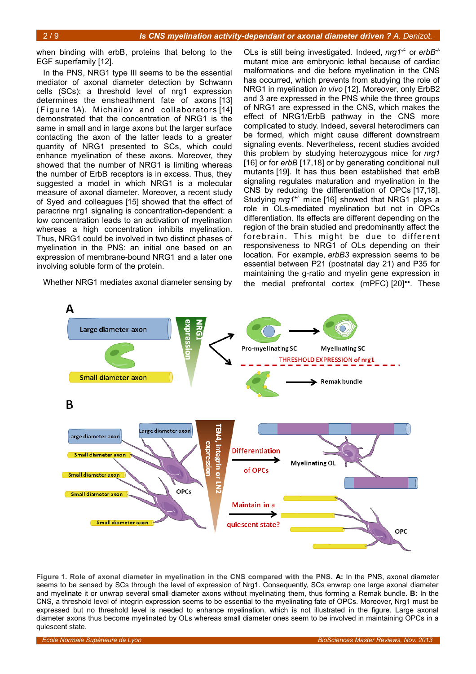when binding with erbB, proteins that belong to the EGF superfamily [12].

In the PNS, NRG1 type III seems to be the essential mediator of axonal diameter detection by Schwann cells (SCs): a threshold level of nrg1 expression determines the ensheathment fate of axons [13] (Figure [1A](#page-1-0)). Michailov and collaborators [14] demonstrated that the concentration of NRG1 is the same in small and in large axons but the larger surface contacting the axon of the latter leads to a greater quantity of NRG1 presented to SCs, which could enhance myelination of these axons. Moreover, they showed that the number of NRG1 is limiting whereas the number of ErbB receptors is in excess. Thus, they suggested a model in which NRG1 is a molecular measure of axonal diameter. Moreover, a recent study of Syed and colleagues [15] showed that the effect of paracrine nrg1 signaling is concentration-dependent: a low concentration leads to an activation of myelination whereas a high concentration inhibits myelination. Thus, NRG1 could be involved in two distinct phases of myelination in the PNS: an initial one based on an expression of membrane-bound NRG1 and a later one involving soluble form of the protein.

Whether NRG1 mediates axonal diameter sensing by

OLs is still being investigated. Indeed, *nrg1-/-* or *erbB-/* mutant mice are embryonic lethal because of cardiac malformations and die before myelination in the CNS has occurred, which prevents from studying the role of NRG1 in myelination *in vivo* [12]. Moreover, only ErbB2 and 3 are expressed in the PNS while the three groups of NRG1 are expressed in the CNS, which makes the effect of NRG1/ErbB pathway in the CNS more complicated to study. Indeed, several heterodimers can be formed, which might cause different downstream signaling events. Nevertheless, recent studies avoided this problem by studying heterozygous mice for *nrg1* [16] or for *erbB* [17,18] or by generating conditional null mutants [19]. It has thus been established that erbB signaling regulates maturation and myelination in the CNS by reducing the differentiation of OPCs [17,18]. Studying *nrg1+/-* mice [16] showed that NRG1 plays a role in OLs-mediated myelination but not in OPCs differentiation. Its effects are different depending on the region of the brain studied and predominantly affect the forebrain. This might be due to different responsiveness to NRG1 of OLs depending on their location. For example, *erbB3* expression seems to be essential between P21 (postnatal day 21) and P35 for maintaining the g-ratio and myelin gene expression in the medial prefrontal cortex (mPFC) [20]••. These



<span id="page-1-0"></span>**Figure 1. Role of axonal diameter in myelination in the CNS compared with the PNS. A:** In the PNS, axonal diameter seems to be sensed by SCs through the level of expression of Nrg1. Consequently, SCs enwrap one large axonal diameter and myelinate it or unwrap several small diameter axons without myelinating them, thus forming a Remak bundle. **B:** In the CNS, a threshold level of integrin expression seems to be essential to the myelinating fate of OPCs. Moreover, Nrg1 must be expressed but no threshold level is needed to enhance myelination, which is not illustrated in the figure. Large axonal diameter axons thus become myelinated by OLs whereas small diameter ones seem to be involved in maintaining OPCs in a quiescent state.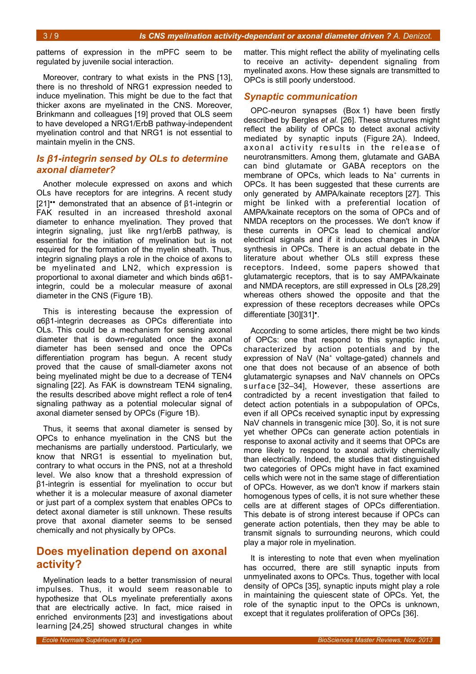patterns of expression in the mPFC seem to be regulated by juvenile social interaction.

Moreover, contrary to what exists in the PNS [13], there is no threshold of NRG1 expression needed to induce myelination. This might be due to the fact that thicker axons are myelinated in the CNS. Moreover, Brinkmann and colleagues [19] proved that OLS seem to have developed a NRG1/ErbB pathway-independent myelination control and that NRG1 is not essential to maintain myelin in the CNS.

### *Is β1-integrin sensed by OLs to determine axonal diameter?*

Another molecule expressed on axons and which OLs have receptors for are integrins. A recent study [21]•• demonstrated that an absence of β1-integrin or FAK resulted in an increased threshold axonal diameter to enhance myelination. They proved that integrin signaling, just like nrg1/erbB pathway, is essential for the initiation of myelination but is not required for the formation of the myelin sheath. Thus, integrin signaling plays a role in the choice of axons to be myelinated and LN2, which expression is proportional to axonal diameter and which binds α6β1 integrin, could be a molecular measure of axonal diameter in the CNS (Figure [1B](#page-1-0)).

This is interesting because the expression of α6β1-integrin decreases as OPCs differentiate into OLs. This could be a mechanism for sensing axonal diameter that is down-regulated once the axonal diameter has been sensed and once the OPCs differentiation program has begun. A recent study proved that the cause of small-diameter axons not being myelinated might be due to a decrease of TEN4 signaling [22]. As FAK is downstream TEN4 signaling, the results described above might reflect a role of ten4 signaling pathway as a potential molecular signal of axonal diameter sensed by OPCs (Figure [1B](#page-1-0)).

Thus, it seems that axonal diameter is sensed by OPCs to enhance myelination in the CNS but the mechanisms are partially understood. Particularly, we know that NRG1 is essential to myelination but, contrary to what occurs in the PNS, not at a threshold level. We also know that a threshold expression of β1-integrin is essential for myelination to occur but whether it is a molecular measure of axonal diameter or just part of a complex system that enables OPCs to detect axonal diameter is still unknown. These results prove that axonal diameter seems to be sensed chemically and not physically by OPCs.

# **Does myelination depend on axonal activity?**

Myelination leads to a better transmission of neural impulses. Thus, it would seem reasonable to hypothesize that OLs myelinate preferentially axons that are electrically active. In fact, mice raised in enriched environments [23] and investigations about learning [24,25] showed structural changes in white

matter. This might reflect the ability of myelinating cells to receive an activity- dependent signaling from myelinated axons. How these signals are transmitted to OPCs is still poorly understood.

#### *Synaptic communication*

OPC-neuron synapses (Box [1\)](#page-3-0) have been firstly described by Bergles *et al.* [26]. These structures might reflect the ability of OPCs to detect axonal activity mediated by synaptic inputs (Figure [2A](#page-4-0)). Indeed, axonal activity results in the release of neurotransmitters. Among them, glutamate and GABA can bind glutamate or GABA receptors on the membrane of OPCs, which leads to Na<sup>+</sup> currents in OPCs. It has been suggested that these currents are only generated by AMPA/kainate receptors [27]. This might be linked with a preferential location of AMPA/kainate receptors on the soma of OPCs and of NMDA receptors on the processes. We don't know if these currents in OPCs lead to chemical and/or electrical signals and if it induces changes in DNA synthesis in OPCs. There is an actual debate in the literature about whether OLs still express these receptors. Indeed, some papers showed that glutamatergic receptors, that is to say AMPA/kainate and NMDA receptors, are still expressed in OLs [28,29] whereas others showed the opposite and that the expression of these receptors decreases while OPCs differentiate [30][31]•.

According to some articles, there might be two kinds of OPCs: one that respond to this synaptic input, characterized by action potentials and by the expression of NaV (Na<sup>+</sup> voltage-gated) channels and one that does not because of an absence of both glutamatergic synapses and NaV channels on OPCs surface [32–34], However, these assertions are contradicted by a recent investigation that failed to detect action potentials in a subpopulation of OPCs, even if all OPCs received synaptic input by expressing NaV channels in transgenic mice [30]. So, it is not sure yet whether OPCs can generate action potentials in response to axonal activity and it seems that OPCs are more likely to respond to axonal activity chemically than electrically. Indeed, the studies that distinguished two categories of OPCs might have in fact examined cells which were not in the same stage of differentiation of OPCs. However, as we don't know if markers stain homogenous types of cells, it is not sure whether these cells are at different stages of OPCs differentiation. This debate is of strong interest because if OPCs can generate action potentials, then they may be able to transmit signals to surrounding neurons, which could play a major role in myelination.

It is interesting to note that even when myelination has occurred, there are still synaptic inputs from unmyelinated axons to OPCs. Thus, together with local density of OPCs [35], synaptic inputs might play a role in maintaining the quiescent state of OPCs. Yet, the role of the synaptic input to the OPCs is unknown, except that it regulates proliferation of OPCs [36].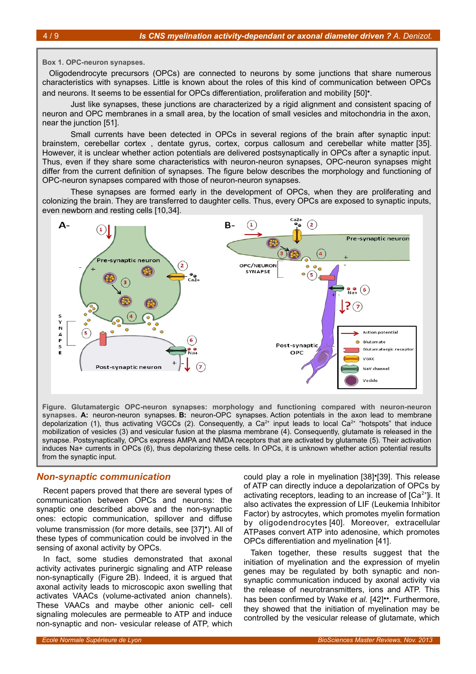#### <span id="page-3-0"></span>**Box 1. OPC-neuron synapses.**

Oligodendrocyte precursors (OPCs) are connected to neurons by some junctions that share numerous characteristics with synapses. Little is known about the roles of this kind of communication between OPCs and neurons. It seems to be essential for OPCs differentiation, proliferation and mobility [50]<sup>•</sup>.

Just like synapses, these junctions are characterized by a rigid alignment and consistent spacing of neuron and OPC membranes in a small area, by the location of small vesicles and mitochondria in the axon, near the junction [51].

Small currents have been detected in OPCs in several regions of the brain after synaptic input: brainstem, cerebellar cortex , dentate gyrus, cortex, corpus callosum and cerebellar white matter [35]. However, it is unclear whether action potentials are delivered postsynaptically in OPCs after a synaptic input. Thus, even if they share some characteristics with neuron-neuron synapses, OPC-neuron synapses might differ from the current definition of synapses. The figure below describes the morphology and functioning of OPC-neuron synapses compared with those of neuron-neuron synapses.

These synapses are formed early in the development of OPCs, when they are proliferating and colonizing the brain. They are transferred to daughter cells. Thus, every OPCs are exposed to synaptic inputs, even newborn and resting cells [10,34].



**Figure. Glutamatergic OPC-neuron synapses: morphology and functioning compared with neuron-neuron synapses. A:** neuron-neuron synapses. **B:** neuron-OPC synapses. Action potentials in the axon lead to membrane depolarization (1), thus activating VGCCs (2). Consequently, a Ca<sup>2+</sup> input leads to local Ca<sup>2+</sup> "hotspots" that induce mobilization of vesicles (3) and vesicular fusion at the plasma membrane (4). Consequently, glutamate is released in the synapse. Postsynaptically, OPCs express AMPA and NMDA receptors that are activated by glutamate (5). Their activation induces Na+ currents in OPCs (6), thus depolarizing these cells. In OPCs, it is unknown whether action potential results from the synaptic input.

#### *Non-synaptic communication*

Recent papers proved that there are several types of communication between OPCs and neurons: the synaptic one described above and the non-synaptic ones: ectopic communication, spillover and diffuse volume transmission (for more details, see [37]•). All of these types of communication could be involved in the sensing of axonal activity by OPCs.

In fact, some studies demonstrated that axonal activity activates purinergic signaling and ATP release non-synaptically (Figure [2B](#page-4-0)). Indeed, it is argued that axonal activity leads to microscopic axon swelling that activates VAACs (volume-activated anion channels). These VAACs and maybe other anionic cell- cell signaling molecules are permeable to ATP and induce non-synaptic and non- vesicular release of ATP, which

could play a role in myelination [38]•[39]. This release of ATP can directly induce a depolarization of OPCs by activating receptors, leading to an increase of  $[Ca<sup>2+</sup>]$ i. It also activates the expression of LIF (Leukemia Inhibitor Factor) by astrocytes, which promotes myelin formation by oligodendrocytes [40]. Moreover, extracellular ATPases convert ATP into adenosine, which promotes OPCs differentiation and myelination [41].

Taken together, these results suggest that the initiation of myelination and the expression of myelin genes may be regulated by both synaptic and nonsynaptic communication induced by axonal activity via the release of neurotransmitters, ions and ATP. This has been confirmed by Wake *et al.* [42]••. Furthermore, they showed that the initiation of myelination may be controlled by the vesicular release of glutamate, which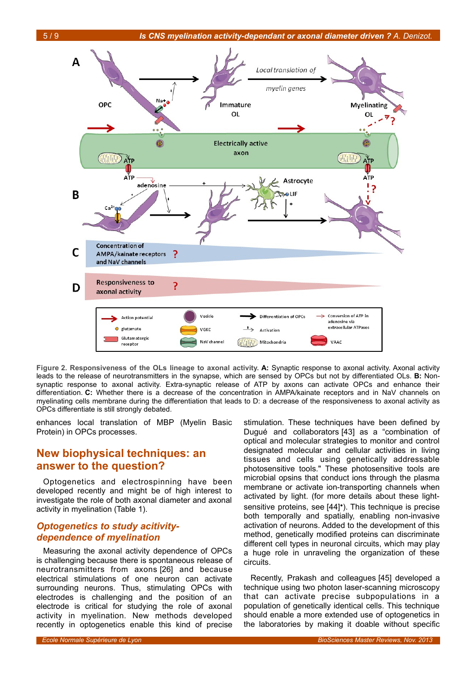



<span id="page-4-0"></span>**Figure 2. Responsiveness of the OLs lineage to axonal activity. A:** Synaptic response to axonal activity. Axonal activity leads to the release of neurotransmitters in the synapse, which are sensed by OPCs but not by differentiated OLs. **B:** Nonsynaptic response to axonal activity. Extra-synaptic release of ATP by axons can activate OPCs and enhance their differentiation. **C:** Whether there is a decrease of the concentration in AMPA/kainate receptors and in NaV channels on myelinating cells membrane during the differentiation that leads to D: a decrease of the responsiveness to axonal activity as OPCs differentiate is still strongly debated.

enhances local translation of MBP (Myelin Basic Protein) in OPCs processes.

# **New biophysical techniques: an answer to the question?**

Optogenetics and electrospinning have been developed recently and might be of high interest to investigate the role of both axonal diameter and axonal activity in myelination (Table [1\)](#page-5-0).

### *Optogenetics to study acitivitydependence of myelination*

Measuring the axonal activity dependence of OPCs is challenging because there is spontaneous release of neurotransmitters from axons [26] and because electrical stimulations of one neuron can activate surrounding neurons. Thus, stimulating OPCs with electrodes is challenging and the position of an electrode is critical for studying the role of axonal activity in myelination. New methods developed recently in optogenetics enable this kind of precise

stimulation. These techniques have been defined by Dugué and collaborators [43] as a "combination of optical and molecular strategies to monitor and control designated molecular and cellular activities in living tissues and cells using genetically addressable photosensitive tools." These photosensitive tools are microbial opsins that conduct ions through the plasma membrane or activate ion-transporting channels when activated by light. (for more details about these lightsensitive proteins, see [44]<sup>•</sup>). This technique is precise both temporally and spatially, enabling non-invasive activation of neurons. Added to the development of this method, genetically modified proteins can discriminate different cell types in neuronal circuits, which may play a huge role in unraveling the organization of these circuits.

Recently, Prakash and colleagues [45] developed a technique using two photon laser-scanning microscopy that can activate precise subpopulations in a population of genetically identical cells. This technique should enable a more extended use of optogenetics in the laboratories by making it doable without specific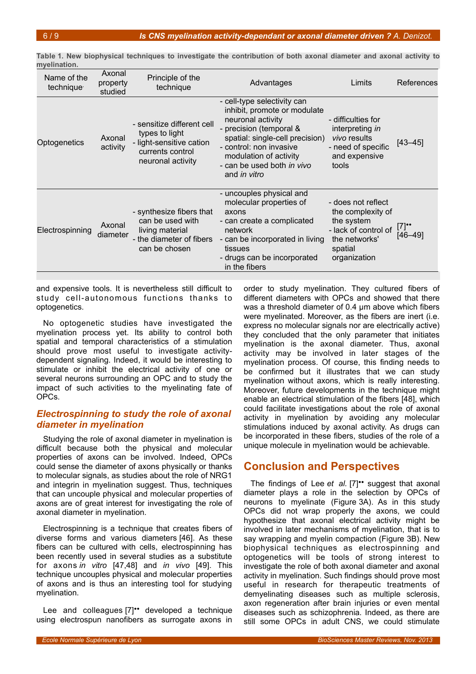| Name of the<br>technique <sup>®</sup> | Axonal<br>property<br>studied | Principle of the<br>technique                                                                                     | Advantages                                                                                                                                                                                                                                               | Limits                                                                                                                    | References                        |
|---------------------------------------|-------------------------------|-------------------------------------------------------------------------------------------------------------------|----------------------------------------------------------------------------------------------------------------------------------------------------------------------------------------------------------------------------------------------------------|---------------------------------------------------------------------------------------------------------------------------|-----------------------------------|
| Optogenetics                          | Axonal<br>activity            | - sensitize different cell<br>types to light<br>- light-sensitive cation<br>currents control<br>neuronal activity | - cell-type selectivity can<br>inhibit, promote or modulate<br>neuronal activity<br>- precision (temporal &<br>spatial: single-cell precision)<br>- control: non invasive<br>modulation of activity<br>- can be used both in vivo<br>and <i>in vitro</i> | - difficulties for<br>interpreting in<br><i>vivo</i> results<br>- need of specific<br>and expensive<br>tools              | $[43 - 45]$                       |
| Electrospinning                       | Axonal<br>diameter            | - synthesize fibers that<br>can be used with<br>living material<br>- the diameter of fibers<br>can be chosen      | - uncouples physical and<br>molecular properties of<br>axons<br>- can create a complicated<br>network<br>- can be incorporated in living<br>tissues<br>- drugs can be incorporated<br>in the fibers                                                      | - does not reflect<br>the complexity of<br>the system<br>- lack of control of<br>the networks'<br>spatial<br>organization | $[7]$ <sup>*</sup><br>$[46 - 49]$ |

<span id="page-5-0"></span>**Table 1. New biophysical techniques to investigate the contribution of both axonal diameter and axonal activity to myelination.**

and expensive tools. It is nevertheless still difficult to study cell-autonomous functions thanks to optogenetics.

No optogenetic studies have investigated the myelination process yet. Its ability to control both spatial and temporal characteristics of a stimulation should prove most useful to investigate activitydependent signaling. Indeed, it would be interesting to stimulate or inhibit the electrical activity of one or several neurons surrounding an OPC and to study the impact of such activities to the myelinating fate of OPCs.

### *Electrospinning to study the role of axonal diameter in myelination*

Studying the role of axonal diameter in myelination is difficult because both the physical and molecular properties of axons can be involved. Indeed, OPCs could sense the diameter of axons physically or thanks to molecular signals, as studies about the role of NRG1 and integrin in myelination suggest. Thus, techniques that can uncouple physical and molecular properties of axons are of great interest for investigating the role of axonal diameter in myelination.

Electrospinning is a technique that creates fibers of diverse forms and various diameters [46]. As these fibers can be cultured with cells, electrospinning has been recently used in several studies as a substitute for axons *in vitro* [47,48] and *in vivo* [49]. This technique uncouples physical and molecular properties of axons and is thus an interesting tool for studying myelination.

Lee and colleagues [7]" developed a technique using electrospun nanofibers as surrogate axons in

order to study myelination. They cultured fibers of different diameters with OPCs and showed that there was a threshold diameter of 0.4 μm above which fibers were myelinated. Moreover, as the fibers are inert (i.e. express no molecular signals nor are electrically active) they concluded that the only parameter that initiates myelination is the axonal diameter. Thus, axonal activity may be involved in later stages of the myelination process. Of course, this finding needs to be confirmed but it illustrates that we can study myelination without axons, which is really interesting. Moreover, future developments in the technique might enable an electrical stimulation of the fibers [48], which could facilitate investigations about the role of axonal activity in myelination by avoiding any molecular stimulations induced by axonal activity. As drugs can be incorporated in these fibers, studies of the role of a unique molecule in myelination would be achievable.

# **Conclusion and Perspectives**

The findings of Lee et al. [7]\*\* suggest that axonal diameter plays a role in the selection by OPCs of neurons to myelinate (Figure [3A](#page-6-0)). As in this study OPCs did not wrap properly the axons, we could hypothesize that axonal electrical activity might be involved in later mechanisms of myelination, that is to say wrapping and myelin compaction (Figure [3B](#page-6-0)). New biophysical techniques as electrospinning and optogenetics will be tools of strong interest to investigate the role of both axonal diameter and axonal activity in myelination. Such findings should prove most useful in research for therapeutic treatments of demyelinating diseases such as multiple sclerosis, axon regeneration after brain injuries or even mental diseases such as schizophrenia. Indeed, as there are still some OPCs in adult CNS, we could stimulate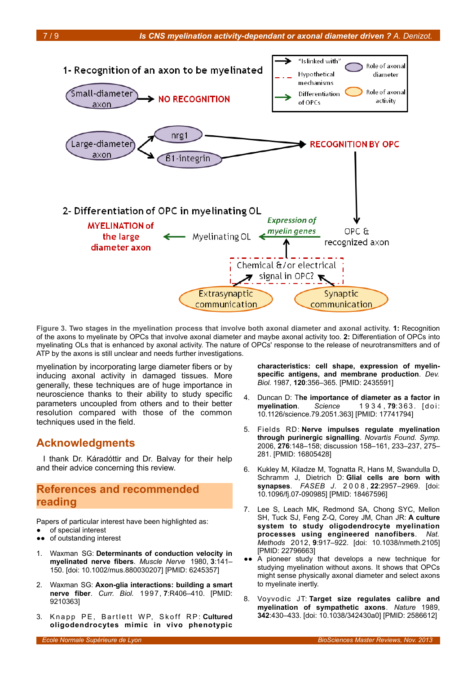

<span id="page-6-0"></span>**Figure 3. Two stages in the myelination process that involve both axonal diameter and axonal activity. 1:** Recognition of the axons to myelinate by OPCs that involve axonal diameter and maybe axonal activity too. **2:** Differentiation of OPCs into myelinating OLs that is enhanced by axonal activity. The nature of OPCs' response to the release of neurotransmitters and of ATP by the axons is still unclear and needs further investigations.

myelination by incorporating large diameter fibers or by inducing axonal activity in damaged tissues. More generally, these techniques are of huge importance in neuroscience thanks to their ability to study specific parameters uncoupled from others and to their better resolution compared with those of the common techniques used in the field.

# **Acknowledgments**

I thank Dr. Káradóttir and Dr. Balvay for their help and their advice concerning this review.

# **References and recommended reading**

Papers of particular interest have been highlighted as: of special interest

- ●● of outstanding interest
- 1. Waxman SG: **Determinants of conduction velocity in myelinated nerve fibers**. *Muscle Nerve* 1980, **3**:141– 150. [doi: 10.1002/mus.880030207] [PMID: 6245357]
- 2. Waxman SG: **Axon-glia interactions: building a smart nerve fiber**. *Curr. Biol.* 1997, **7**:R406–410. [PMID: 9210363]
- 3. Knapp PE, Bartlett WP, Skoff RP: Cultured **oligodendrocytes mimic in vivo phenotypic**

**characteristics: cell shape, expression of myelinspecific antigens, and membrane production**. *Dev. Biol.* 1987, **120**:356–365. [PMID: 2435591]

- 4. Duncan D: T**he importance of diameter as a factor in myelination**. *Science* 1 9 3 4 , **79**: 3 6 3 . [ d o i : 10.1126/science.79.2051.363] [PMID: 17741794]
- 5. Fields RD: **Nerve impulses regulate myelination through purinergic signalling**. *Novartis Found. Symp.* 2006, **276**:148–158; discussion 158–161, 233–237, 275– 281. [PMID: 16805428]
- 6. Kukley M, Kiladze M, Tognatta R, Hans M, Swandulla D, Schramm J, Dietrich D: **Glial cells are born with synapses**. *FASEB J.* 2 0 0 8 , **22**:2957–2969. [doi: 10.1096/fj.07-090985] [PMID: 18467596]
- 7. Lee S, Leach MK, Redmond SA, Chong SYC, Mellon SH, Tuck SJ, Feng Z-Q, Corey JM, Chan JR: **A culture system to study oligodendrocyte myelination processes using engineered nanofibers**. *Nat. Methods* 2012, **9**:917–922. [doi: 10.1038/nmeth.2105] [PMID: 22796663]
- ●● A pioneer study that develops a new technique for studying myelination without axons. It shows that OPCs might sense physically axonal diameter and select axons to myelinate inertly.
- 8. Voyvodic JT: **Target size regulates calibre and myelination of sympathetic axons**. *Nature* 1989, **342**:430–433. [doi: 10.1038/342430a0] [PMID: 2586612]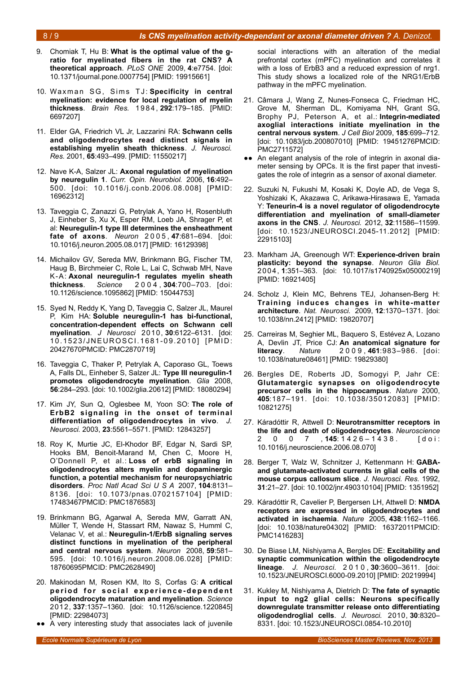#### 8 / 9 *Is CNS myelination activity-dependant or axonal diameter driven ? A. Denizot.*

- 
- 9. Chomiak T, Hu B: **What is the optimal value of the gratio for myelinated fibers in the rat CNS? A theoretical approach**. *PLoS ONE* 2009, **4**:e7754. [doi: 10.1371/journal.pone.0007754] [PMID: 19915661]
- 10. Waxman SG, Sims TJ: Specificity in central **myelination: evidence for local regulation of myelin thickness**. *Brain Res.* 1 9 8 4 , **292**:179–185. [PMID: 6697207]
- 11. Elder GA, Friedrich VL Jr, Lazzarini RA: **Schwann cells and oligodendrocytes read distinct signals in establishing myelin sheath thickness**. *J. Neurosci. Res.* 2001, **65**:493–499. [PMID: 11550217]
- 12. Nave K-A, Salzer JL: **Axonal regulation of myelination by neuregulin 1**. *Curr. Opin. Neurobiol.* 2006, **16**:492– 500. [doi: 10.1016/j.conb.2006.08.008] [PMID: 16962312]
- 13. Taveggia C, Zanazzi G, Petrylak A, Yano H, Rosenbluth J, Einheber S, Xu X, Esper RM, Loeb JA, Shrager P, et al: **Neuregulin-1 type III determines the ensheathment fate of axons**. *Neuron* 2 0 0 5 , **47**:681–694. [doi: 10.1016/j.neuron.2005.08.017] [PMID: 16129398]
- 14. Michailov GV, Sereda MW, Brinkmann BG, Fischer TM, Haug B, Birchmeier C, Role L, Lai C, Schwab MH, Nave K-A: **Axonal neuregulin-1 regulates myelin sheath thickness**. *Science* 2 0 0 4 , **304**:700–703. [doi: 10.1126/science.1095862] [PMID: 15044753]
- 15. Syed N, Reddy K, Yang D, Taveggia C, Salzer JL, Maurel P, Kim HA: **Soluble neuregulin-1 has bi-functional, concentration-dependent effects on Schwann cell myelination**. *J Neurosci* 2010, **30**:6122–6131. [doi: 10.1523/JNEUROSCI.1681-09.2010] [PMID: 20427670PMCID: PMC2870719]
- 16. Taveggia C, Thaker P, Petrylak A, Caporaso GL, Toews A, Falls DL, Einheber S, Salzer JL: **Type III neuregulin-1 promotes oligodendrocyte myelination**. *Glia* 2008, **56**:284–293. [doi: 10.1002/glia.20612] [PMID: 18080294]
- 17. Kim JY, Sun Q, Oglesbee M, Yoon SO: **The role of ErbB2 signaling in the onset of terminal differentiation of oligodendrocytes in vivo**. *J. Neurosci.* 2003, **23**:5561–5571. [PMID: 12843257]
- 18. Roy K, Murtie JC, El-Khodor BF, Edgar N, Sardi SP, Hooks BM, Benoit-Marand M, Chen C, Moore H, O'Donnell P, et al.: **Loss of erbB signaling in oligodendrocytes alters myelin and dopaminergic function, a potential mechanism for neuropsychiatric disorders**. *Proc Natl Acad Sci U S A* 2007, **104**:8131– 8136. [doi: 10.1073/pnas.0702157104] [PMID: 17483467PMCID: PMC1876583]
- 19. Brinkmann BG, Agarwal A, Sereda MW, Garratt AN, Müller T, Wende H, Stassart RM, Nawaz S, Humml C, Velanac V, et al.: **Neuregulin-1/ErbB signaling serves distinct functions in myelination of the peripheral and central nervous system**. *Neuron* 2008, **59**:581– 595. [doi: 10.1016/j.neuron.2008.06.028] [PMID: 18760695PMCID: PMC2628490]
- 20. Makinodan M, Rosen KM, Ito S, Corfas G: **A critical** period for social experience-dependent **oligodendrocyte maturation and myelination**. *Science* 2012, **337**:1357–1360. [doi: 10.1126/science.1220845] [PMID: 22984073]
- ●● A very interesting study that associates lack of juvenile

social interactions with an alteration of the medial prefrontal cortex (mPFC) myelination and correlates it with a loss of ErbB3 and a reduced expression of nrg1. This study shows a localized role of the NRG1/ErbB pathway in the mPFC myelination.

- 21. Câmara J, Wang Z, Nunes-Fonseca C, Friedman HC, Grove M, Sherman DL, Komiyama NH, Grant SG, Brophy PJ, Peterson A, et al.: **Integrin-mediated axoglial interactions initiate myelination in the central nervous system**. *J Cell Biol* 2009, **185**:699–712. [doi: 10.1083/jcb.200807010] [PMID: 19451276PMCID: PMC2711572]
- ●● An elegant analysis of the role of integrin in axonal diameter sensing by OPCs. It is the first paper that investigates the role of integrin as a sensor of axonal diameter.
- 22. Suzuki N, Fukushi M, Kosaki K, Doyle AD, de Vega S, Yoshizaki K, Akazawa C, Arikawa-Hirasawa E, Yamada Y: **Teneurin-4 is a novel regulator of oligodendrocyte differentiation and myelination of small-diameter axons in the CNS**. *J. Neurosci.* 2012, **32**:11586–11599. [doi: 10.1523/JNEUROSCI.2045-11.2012] [PMID: 22915103]
- 23. Markham JA, Greenough WT: **Experience-driven brain plasticity: beyond the synapse**. *Neuron Glia Biol.* 2004, **1**:351–363. [doi: 10.1017/s1740925x05000219] [PMID: 16921405]
- 24. Scholz J, Klein MC, Behrens TEJ, Johansen-Berg H: **Training induces changes in white-matter architecture**. *Nat. Neurosci.* 2009, **12**:1370–1371. [doi: 10.1038/nn.2412] [PMID: 19820707]
- 25. Carreiras M, Seghier ML, Baquero S, Estévez A, Lozano A, Devlin JT, Price CJ: **An anatomical signature for literacy**. *Nature* 2 0 0 9 , **461**:983–986. [doi: 10.1038/nature08461] [PMID: 19829380]
- 26. Bergles DE, Roberts JD, Somogyi P, Jahr CE: **Glutamatergic synapses on oligodendrocyte precursor cells in the hippocampus**. *Nature* 2000, **405**:187–191. [doi: 10.1038/35012083] [PMID: 10821275]
- 27. Káradóttir R, Attwell D: **Neurotransmitter receptors in the life and death of oligodendrocytes**. *Neuroscience* 2 0 0 7 , 145: 1426 - 1438. [doi: 10.1016/j.neuroscience.2006.08.070]
- 28. Berger T, Walz W, Schnitzer J, Kettenmann H: **GABAand glutamate-activated currents in glial cells of the mouse corpus callosum slice**. *J. Neurosci. Res.* 1992, **31**:21–27. [doi: 10.1002/jnr.490310104] [PMID: 1351952]
- 29. Káradóttir R, Cavelier P, Bergersen LH, Attwell D: **NMDA receptors are expressed in oligodendrocytes and activated in ischaemia**. *Nature* 2005, **438**:1162–1166. [doi: 10.1038/nature04302] [PMID: 16372011PMCID: PMC1416283]
- 30. De Biase LM, Nishiyama A, Bergles DE: **Excitability and synaptic communication within the oligodendrocyte lineage**. *J. Neurosci.* 2 0 1 0 , **30**:3600–3611. [doi: 10.1523/JNEUROSCI.6000-09.2010] [PMID: 20219994]
- 31. Kukley M, Nishiyama A, Dietrich D: **The fate of synaptic input to ng2 glial cells: Neurons specifically downregulate transmitter release onto differentiating oligodendroglial cells**. *J. Neurosci.* 2010, **30**:8320– 8331. [doi: 10.1523/JNEUROSCI.0854-10.2010]